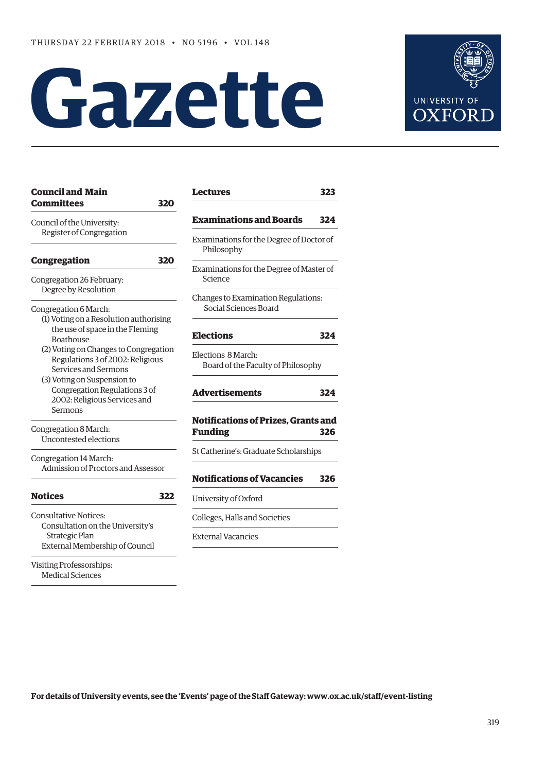# **Gazette**



| <b>Council and Main</b><br>Committees  | 320 |  |
|----------------------------------------|-----|--|
| Council of the University:             |     |  |
| Register of Congregation               |     |  |
| <b>Congregation</b>                    | 320 |  |
|                                        |     |  |
| Congregation 26 February:              |     |  |
| Degree by Resolution                   |     |  |
| Congregation 6 March:                  |     |  |
| (1) Voting on a Resolution authorising |     |  |
| the use of space in the Fleming        |     |  |
| Boathouse                              |     |  |
| (2) Voting on Changes to Congregation  |     |  |
| Regulations 3 of 2002: Religious       |     |  |
| Services and Sermons                   |     |  |
| (3) Voting on Suspension to            |     |  |
| Congregation Regulations 3 of          |     |  |
| 2002: Religious Services and           |     |  |
| Sermons                                |     |  |
| Congregation 8 March:                  |     |  |
| Uncontested elections                  |     |  |
| Congregation 14 March:                 |     |  |
| Admission of Proctors and Assessor     |     |  |
| <b>Notices</b>                         | 322 |  |
|                                        |     |  |
| <b>Consultative Notices:</b>           |     |  |
| Consultation on the University's       |     |  |
| Strategic Plan                         |     |  |
| External Membership of Council         |     |  |
| <b>Visiting Professorships:</b>        |     |  |
| <b>Medical Sciences</b>                |     |  |

| 323                                               |
|---------------------------------------------------|
| 324                                               |
| Examinations for the Degree of Doctor of          |
| Examinations for the Degree of Master of          |
| Changes to Examination Regulations:               |
| 324                                               |
| Board of the Faculty of Philosophy                |
| 324                                               |
| <b>Notifications of Prizes, Grants and</b><br>326 |
| St Catherine's: Graduate Scholarships             |
| 326                                               |
|                                                   |
|                                                   |
|                                                   |
|                                                   |

**For details of University events, see the 'Events' page of the Staff Gateway: [www.ox.ac.uk/staff/event-listing](http://www.ox.ac.uk/staff/event-listing)**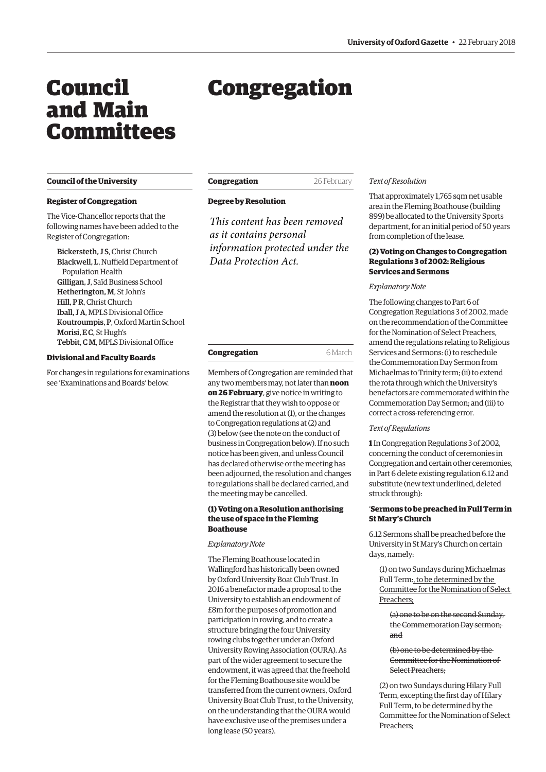## <span id="page-1-0"></span>Council and Main Committees

#### **Council of the University**

#### **Register of Congregation**

The Vice-Chancellor reports that the following names have been added to the Register of Congregation:

Bickersteth, J S, Christ Church Blackwell, L, Nuffield Department of Population Health Gilligan, J, Saïd Business School Hetherington, M, St John's Hill, P R, Christ Church Iball, J A, MPLS Divisional Office Koutroumpis, P, Oxford Martin School Morisi, E C, St Hugh's Tebbit, C M, MPLS Divisional Office

#### **Divisional and Faculty Boards**

For changes in regulations for examinations see 'Examinations and Boards' below.

# Congregation

| Congregation | 26 February |
|--------------|-------------|
|--------------|-------------|

#### **Degree by Resolution**

*This content has been removed as it contains personal information protected under the Data Protection Act.*

| Congregation | 6 March |
|--------------|---------|
|              |         |

Members of Congregation are reminded that any two members may, not later than **noon on 26 February**, give notice in writing to the Registrar that they wish to oppose or amend the resolution at (1), or the changes to Congregation regulations at (2) and (3) below (see the note on the conduct of business in Congregation below). If no such notice has been given, and unless Council has declared otherwise or the meeting has been adjourned, the resolution and changes to regulations shall be declared carried, and the meeting may be cancelled.

#### **(1) Voting on a Resolution authorising the use of space in the Fleming Boathouse**

*Explanatory Note*

The Fleming Boathouse located in Wallingford has historically been owned by Oxford University Boat Club Trust. In 2016 a benefactor made a proposal to the University to establish an endowment of £8m for the purposes of promotion and participation in rowing, and to create a structure bringing the four University rowing clubs together under an Oxford University Rowing Association (OURA). As part of the wider agreement to secure the endowment, it was agreed that the freehold for the Fleming Boathouse site would be transferred from the current owners, Oxford University Boat Club Trust, to the University, on the understanding that the OURA would have exclusive use of the premises under a long lease (50 years).

#### *Text of Resolution*

That approximately 1,765 sqm net usable area in the Fleming Boathouse (building 899) be allocated to the University Sports department, for an initial period of 50 years from completion of the lease.

#### **(2) Voting on Changes to Congregation Regulations 3 of 2002: Religious Services and Sermons**

#### *Explanatory Note*

The following changes to Part 6 of Congregation Regulations 3 of 2002, made on the recommendation of the Committee for the Nomination of Select Preachers, amend the regulations relating to Religious Services and Sermons: (i) to reschedule the Commemoration Day Sermon from Michaelmas to Trinity term; (ii) to extend the rota through which the University's benefactors are commemorated within the Commemoration Day Sermon; and (iii) to correct a cross-referencing error.

#### *Text of Regulations*

**1** In Congregation Regulations 3 of 2002, concerning the conduct of ceremonies in Congregation and certain other ceremonies, in Part 6 delete existing regulation 6.12 and substitute (new text underlined, deleted struck through):

#### '**Sermons to be preached in Full Term in St Mary's Church**

6.12 Sermons shall be preached before the University in St Mary's Church on certain days, namely:

(1) on two Sundays during Michaelmas Full Term:, to be determined by the Committee for the Nomination of Select Preachers;

(a) one to be on the second Sunday, the Commemoration Day sermon; and

(b) one to be determined by the Committee for the Nomination of Select Preachers;

(2) on two Sundays during Hilary Full Term, excepting the first day of Hilary Full Term, to be determined by the Committee for the Nomination of Select Preachers;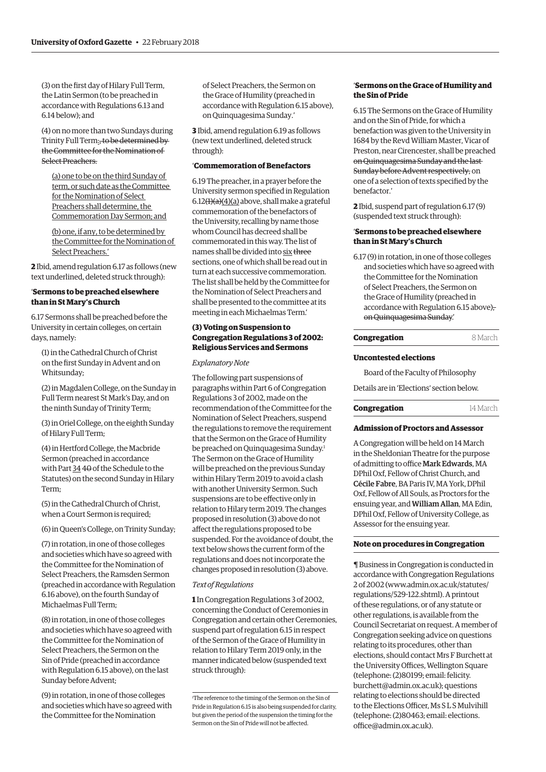(3) on the first day of Hilary Full Term, the Latin Sermon (to be preached in accordance with Regulations 6.13 and 6.14 below); and

(4) on no more than two Sundays during Trinity Full Term:, to be determined by the Committee for the Nomination of Select Preachers.

(a) one to be on the third Sunday of term, or such date as the Committee for the Nomination of Select Preachers shall determine, the Commemoration Day Sermon; and

(b) one, if any, to be determined by the Committee for the Nomination of Select Preachers.'

**2** Ibid, amend regulation 6.17 as follows (new text underlined, deleted struck through):

#### '**Sermons to be preached elsewhere than in St Mary's Church**

6.17 Sermons shall be preached before the University in certain colleges, on certain days, namely:

(1) in the Cathedral Church of Christ on the first Sunday in Advent and on Whitsunday;

(2) in Magdalen College, on the Sunday in Full Term nearest St Mark's Day, and on the ninth Sunday of Trinity Term;

(3) in Oriel College, on the eighth Sunday of Hilary Full Term;

(4) in Hertford College, the Macbride Sermon (preached in accordance with Part 34 40 of the Schedule to the Statutes) on the second Sunday in Hilary Term;

(5) in the Cathedral Church of Christ, when a Court Sermon is required;

(6) in Queen's College, on Trinity Sunday;

(7) in rotation, in one of those colleges and societies which have so agreed with the Committee for the Nomination of Select Preachers, the Ramsden Sermon (preached in accordance with Regulation 6.16 above), on the fourth Sunday of Michaelmas Full Term;

(8) in rotation, in one of those colleges and societies which have so agreed with the Committee for the Nomination of Select Preachers, the Sermon on the Sin of Pride (preached in accordance with Regulation 6.15 above), on the last Sunday before Advent;

(9) in rotation, in one of those colleges and societies which have so agreed with the Committee for the Nomination

of Select Preachers, the Sermon on the Grace of Humility (preached in accordance with Regulation 6.15 above), on Quinquagesima Sunday.'

**3** Ibid, amend regulation 6.19 as follows (new text underlined, deleted struck through):

#### '**Commemoration of Benefactors**

6.19 The preacher, in a prayer before the University sermon specified in Regulation  $6.12(\frac{1}{a}(\frac{4}{a})$  above, shall make a grateful commemoration of the benefactors of the University, recalling by name those whom Council has decreed shall be commemorated in this way. The list of names shall be divided into six three sections, one of which shall be read out in turn at each successive commemoration. The list shall be held by the Committee for the Nomination of Select Preachers and shall be presented to the committee at its meeting in each Michaelmas Term.'

#### **(3) Voting on Suspension to Congregation Regulations 3 of 2002: Religious Services and Sermons**

#### *Explanatory Note*

The following part suspensions of paragraphs within Part 6 of Congregation Regulations 3 of 2002, made on the recommendation of the Committee for the Nomination of Select Preachers, suspend the regulations to remove the requirement that the Sermon on the Grace of Humility be preached on Ouinquagesima Sunday.<sup>1</sup> The Sermon on the Grace of Humility will be preached on the previous Sunday within Hilary Term 2019 to avoid a clash with another University Sermon. Such suspensions are to be effective only in relation to Hilary term 2019. The changes proposed in resolution (3) above do not affect the regulations proposed to be suspended. For the avoidance of doubt, the text below shows the current form of the regulations and does not incorporate the changes proposed in resolution (3) above.

#### *Text of Regulations*

**1** In Congregation Regulations 3 of 2002, concerning the Conduct of Ceremonies in Congregation and certain other Ceremonies, suspend part of regulation 6.15 in respect of the Sermon of the Grace of Humility in relation to Hilary Term 2019 only, in the manner indicated below (suspended text struck through):

#### '**Sermons on the Grace of Humility and the Sin of Pride**

6.15 The Sermons on the Grace of Humility and on the Sin of Pride, for which a benefaction was given to the University in 1684 by the Revd William Master, Vicar of Preston, near Cirencester, shall be preached on Quinquagesima Sunday and the last Sunday before Advent respectively, on one of a selection of texts specified by the benefactor.'

**2** Ibid, suspend part of regulation 6.17 (9) (suspended text struck through):

#### '**Sermons to be preached elsewhere than in St Mary's Church**

6.17 (9) in rotation, in one of those colleges and societies which have so agreed with the Committee for the Nomination of Select Preachers, the Sermon on the Grace of Humility (preached in accordance with Regulation 6.15 above)<sub>7</sub> on Quinquagesima Sunday.'

#### **Congregation** 8 March

#### **Uncontested elections**

Board of the Faculty of Philosophy

Details are in 'Elections' section below.

#### **Congregation** 14 March

#### **Admission of Proctors and Assessor**

A Congregation will be held on 14 March in the Sheldonian Theatre for the purpose of admitting to office Mark Edwards, MA DPhil Oxf, Fellow of Christ Church, and Cécile Fabre, BA Paris IV, MA York, DPhil Oxf, Fellow of All Souls, as Proctors for the ensuing year, and William Allan, MA Edin, DPhil Oxf, Fellow of University College, as Assessor for the ensuing year.

#### **Note on procedures in Congregation**

¶ Business in Congregation is conducted in accordance with Congregation Regulations 2 of 2002 [\(www.admin.ox.ac.uk/statutes/](http://www.admin.ox.ac.uk/statutes/regulations/529-122.shtml) [regulations/529-122.shtml\). A p](http://www.admin.ox.ac.uk/statutes/regulations/529-122.shtml)rintout of these regulations, or of any statute or other regulations, is available from the Council Secretariat on request. A member of Congregation seeking advice on questions relating to its procedures, other than elections, should contact Mrs F Burchett at the University Offices, Wellington Square (telephone: (2)80199; email: felicity. [burchett@admin.ox.ac.uk\); questions](mailto:felicity.burchett@admin.ox.ac.uk)  relating to elections should be directed to the Elections Officer, Ms S L S Mulvihill [\(telephone: \(2\)80463; email: elections.](mailto:elections.office@admin.ox.ac.uk) office@admin.ox.ac.uk).

<sup>1</sup> The reference to the timing of the Sermon on the Sin of Pride in Regulation 6.15 is also being suspended for clarity, but given the period of the suspension the timing for the Sermon on the Sin of Pride will not be affected.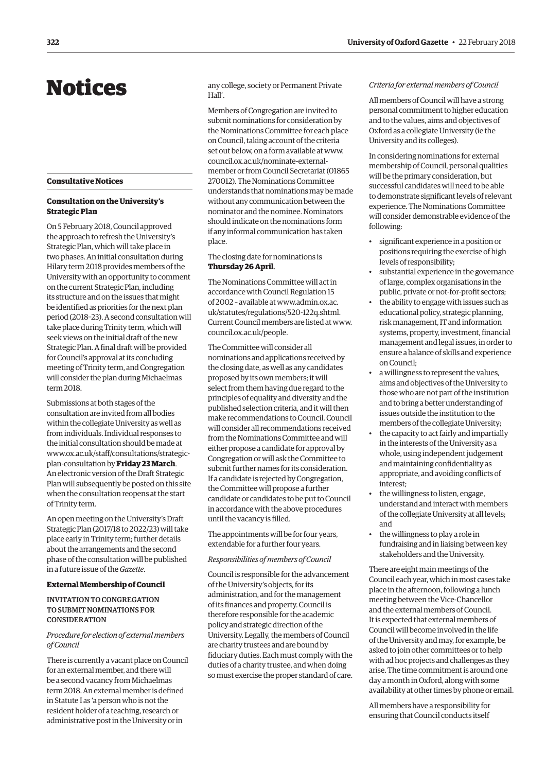## <span id="page-3-0"></span>Notices

#### **Consultative Notices**

#### **Consultation on the University's Strategic Plan**

On 5 February 2018, Council approved the approach to refresh the University's Strategic Plan, which will take place in two phases. An initial consultation during Hilary term 2018 provides members of the University with an opportunity to comment on the current Strategic Plan, including its structure and on the issues that might be identified as priorities for the next plan period (2018–23). A second consultation will take place during Trinity term, which will seek views on the initial draft of the new Strategic Plan. A final draft will be provided for Council's approval at its concluding meeting of Trinity term, and Congregation will consider the plan during Michaelmas term 2018.

Submissions at both stages of the consultation are invited from all bodies within the collegiate University as well as from individuals. Individual responses to the initial consultation should be made at [www.ox.ac.uk/staff/consultations/strategic](www.ox.ac.uk/staff/consultations/strategic-plan-consultation)plan-consultation by **Friday 23 March**. An electronic version of the Draft Strategic Plan will subsequently be posted on this site when the consultation reopens at the start of Trinity term.

An open meeting on the University's Draft Strategic Plan (2017/18 to 2022/23) will take place early in Trinity term; further details about the arrangements and the second phase of the consultation will be published in a future issue of the *Gazette*.

#### **External Membership of Council**

#### INVITATION TO CONGREGATION TO SUBMIT NOMINATIONS FOR **CONSIDERATION**

#### *Procedure for election of external members of Council*

There is currently a vacant place on Council for an external member, and there will be a second vacancy from Michaelmas term 2018. An external member is defined in Statute I as 'a person who is not the resident holder of a teaching, research or administrative post in the University or in

any college, society or Permanent Private Hall'.

Members of Congregation are invited to submit nominations for consideration by the Nominations Committee for each place on Council, taking account of the criteria set out below, on a form available at www. council.ox.ac.uk/nominate-external[member or from Council Secretariat \(01865](www.council.ox.ac.uk/nominate-external-member)  270012). The Nominations Committee understands that nominations may be made without any communication between the nominator and the nominee. Nominators should indicate on the nominations form if any informal communication has taken place.

#### The closing date for nominations is **Thursday 26 April**.

The Nominations Committee will act in accordance with Council Regulation 15 [of 2002 – available at www.admin.ox.ac.](www.admin.ox.ac.uk/statutes/regulations/520-122q.shtml) uk/statutes/regulations/520-122q.shtml. Current Council members are listed at [www.](http://www.council.ox.ac.uk/people) [council.ox.ac.uk/people.](http://www.council.ox.ac.uk/people)

The Committee will consider all nominations and applications received by the closing date, as well as any candidates proposed by its own members; it will select from them having due regard to the principles of equality and diversity and the published selection criteria, and it will then make recommendations to Council. Council will consider all recommendations received from the Nominations Committee and will either propose a candidate for approval by Congregation or will ask the Committee to submit further names for its consideration. If a candidate is rejected by Congregation, the Committee will propose a further candidate or candidates to be put to Council in accordance with the above procedures until the vacancy is filled.

The appointments will be for four years, extendable for a further four years.

#### *Responsibilities of members of Council*

Council is responsible for the advancement of the University's objects, for its administration, and for the management of its finances and property. Council is therefore responsible for the academic policy and strategic direction of the University. Legally, the members of Council are charity trustees and are bound by fiduciary duties. Each must comply with the duties of a charity trustee, and when doing so must exercise the proper standard of care.

#### *Criteria for external members of Council*

All members of Council will have a strong personal commitment to higher education and to the values, aims and objectives of Oxford as a collegiate University (ie the University and its colleges).

In considering nominations for external membership of Council, personal qualities will be the primary consideration, but successful candidates will need to be able to demonstrate significant levels of relevant experience. The Nominations Committee will consider demonstrable evidence of the following:

- significant experience in a position or positions requiring the exercise of high levels of responsibility;
- substantial experience in the governance of large, complex organisations in the public, private or not-for-profit sectors;
- the ability to engage with issues such as educational policy, strategic planning, risk management, IT and information systems, property, investment, financial management and legal issues, in order to ensure a balance of skills and experience on Council;
- a willingness to represent the values, aims and objectives of the University to those who are not part of the institution and to bring a better understanding of issues outside the institution to the members of the collegiate University;
- the capacity to act fairly and impartially in the interests of the University as a whole, using independent judgement and maintaining confidentiality as appropriate, and avoiding conflicts of interest;
- the willingness to listen, engage, understand and interact with members of the collegiate University at all levels; and
- the willingness to play a role in fundraising and in liaising between key stakeholders and the University.

There are eight main meetings of the Council each year, which in most cases take place in the afternoon, following a lunch meeting between the Vice-Chancellor and the external members of Council. It is expected that external members of Council will become involved in the life of the University and may, for example, be asked to join other committees or to help with ad hoc projects and challenges as they arise. The time commitment is around one day a month in Oxford, along with some availability at other times by phone or email.

All members have a responsibility for ensuring that Council conducts itself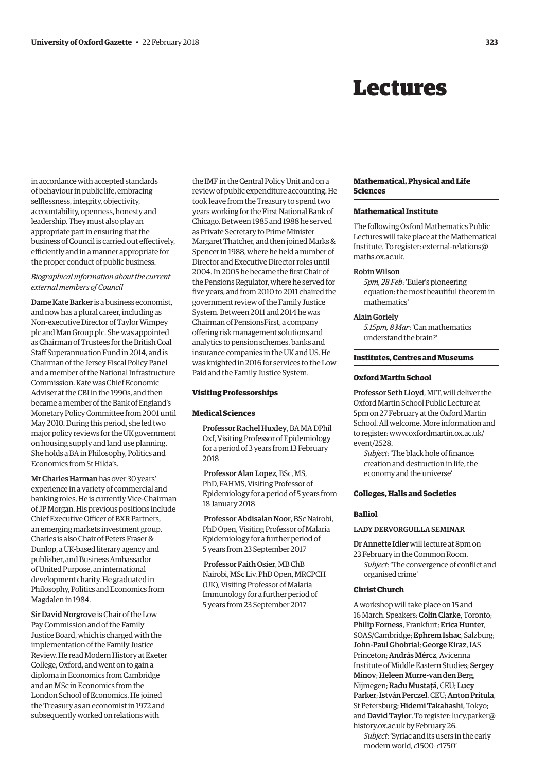## Lectures

<span id="page-4-0"></span>in accordance with accepted standards of behaviour in public life, embracing selflessness, integrity, objectivity, accountability, openness, honesty and leadership. They must also play an appropriate part in ensuring that the business of Council is carried out effectively, efficiently and in a manner appropriate for the proper conduct of public business.

#### *Biographical information about the current external members of Council*

Dame Kate Barker is a business economist, and now has a plural career, including as Non-executive Director of Taylor Wimpey plc and Man Group plc. She was appointed as Chairman of Trustees for the British Coal Staff Superannuation Fund in 2014, and is Chairman of the Jersey Fiscal Policy Panel and a member of the National Infrastructure Commission. Kate was Chief Economic Adviser at the CBI in the 1990s, and then became a member of the Bank of England's Monetary Policy Committee from 2001 until May 2010. During this period, she led two major policy reviews for the UK government on housing supply and land use planning. She holds a BA in Philosophy, Politics and Economics from St Hilda's.

Mr Charles Harman has over 30 years' experience in a variety of commercial and banking roles. He is currently Vice-Chairman of JP Morgan. His previous positions include Chief Executive Officer of BXR Partners, an emerging markets investment group. Charles is also Chair of Peters Fraser & Dunlop, a UK-based literary agency and publisher, and Business Ambassador of United Purpose, an international development charity. He graduated in Philosophy, Politics and Economics from Magdalen in 1984.

Sir David Norgrove is Chair of the Low Pay Commission and of the Family Justice Board, which is charged with the implementation of the Family Justice Review. He read Modern History at Exeter College, Oxford, and went on to gain a diploma in Economics from Cambridge and an MSc in Economics from the London School of Economics. He joined the Treasury as an economist in 1972 and subsequently worked on relations with

the IMF in the Central Policy Unit and on a review of public expenditure accounting. He took leave from the Treasury to spend two years working for the First National Bank of Chicago. Between 1985 and 1988 he served as Private Secretary to Prime Minister Margaret Thatcher, and then joined Marks & Spencer in 1988, where he held a number of Director and Executive Director roles until 2004. In 2005 he became the first Chair of the Pensions Regulator, where he served for five years, and from 2010 to 2011 chaired the government review of the Family Justice System. Between 2011 and 2014 he was Chairman of PensionsFirst, a company offering risk management solutions and analytics to pension schemes, banks and insurance companies in the UK and US. He was knighted in 2016 for services to the Low Paid and the Family Justice System.

#### **Visiting Professorships**

#### **Medical Sciences**

Professor Rachel Huxley, BA MA DPhil Oxf, Visiting Professor of Epidemiology for a period of 3 years from 13 February 2018

Professor Alan Lopez, BSc, MS, PhD, FAHMS, Visiting Professor of Epidemiology for a period of 5 years from 18 January 2018

Professor Abdisalan Noor, BSc Nairobi, PhD Open, Visiting Professor of Malaria Epidemiology for a further period of 5 years from 23 September 2017

Professor Faith Osier, MB ChB Nairobi, MSc Liv, PhD Open, MRCPCH (UK), Visiting Professor of Malaria Immunology for a further period of 5 years from 23 September 2017

#### **Mathematical, Physical and Life Sciences**

#### **Mathematical Institute**

The following Oxford Mathematics Public Lectures will take place at the Mathematical Institute. To register: external-relations@ maths.ox.ac.uk.

#### Robin Wilson

*5pm, 28 Feb*: 'Euler's pioneering equation: the most beautiful theorem in mathematics'

#### Alain Goriely

*5.15pm, 8 Mar*: 'Can mathematics understand the brain?'

#### **Institutes, Centres and Museums**

#### **Oxford Martin School**

Professor Seth Lloyd, MIT, will deliver the Oxford Martin School Public Lecture at 5pm on 27 February at the Oxford Martin School. All welcome. More information and [to register: www.oxfordmartin.ox.ac.uk/](www.oxfordmartin.ox.ac.uk/event/2528) event/2528.

*Subject*: 'The black hole of finance: creation and destruction in life, the economy and the universe'

#### **Colleges, Halls and Societies**

#### **Balliol**

LADY DERVORGUILLA SEMINAR

Dr Annette Idler will lecture at 8pm on 23 February in the Common Room.

*Subject*: 'The convergence of conflict and organised crime'

#### **Christ Church**

A workshop will take place on 15 and 16 March. Speakers: Colin Clarke, Toronto; Philip Forness, Frankfurt; Erica Hunter, SOAS/Cambridge; Ephrem Ishac, Salzburg; John-Paul Ghobrial; George Kiraz, IAS Princeton; András Mércz, Avicenna Institute of Middle Eastern Studies; Sergey Minov; Heleen Murre-van den Berg, Nijmegen; Radu Mustaţă, CEU; Lucy Parker; István Perczel, CEU; Anton Pritula, St Petersburg; Hidemi Takahashi, Tokyo; and David Taylor. To register: lucy.parker@ history.ox.ac.uk by February 26.

*Subject*: 'Syriac and its users in the early modern world, *c*1500–*c*1750'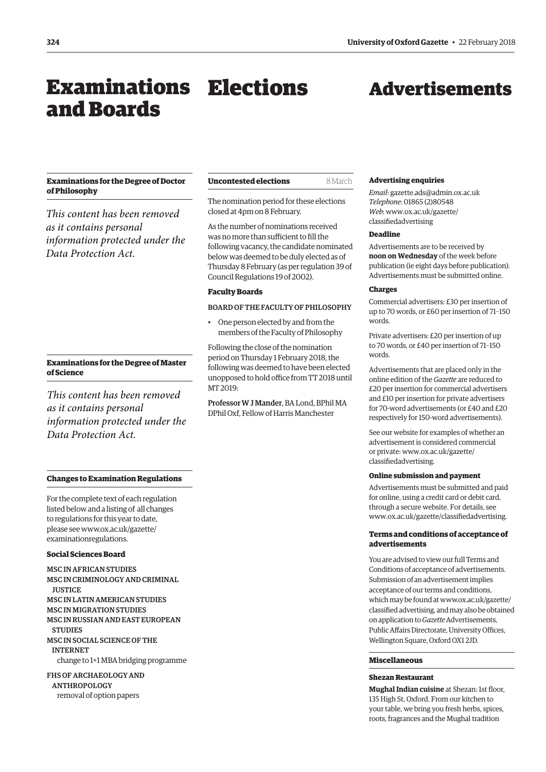## <span id="page-5-0"></span>Examinations Elections and Boards

## Advertisements

#### **Examinations for the Degree of Doctor of Philosophy**

*This content has been removed as it contains personal information protected under the Data Protection Act.*

#### **Examinations for the Degree of Master of Science**

*This content has been removed as it contains personal information protected under the Data Protection Act.*

### **Uncontested elections** 8 March

The nomination period for these elections closed at 4pm on 8 February.

As the number of nominations received was no more than sufficient to fill the following vacancy, the candidate nominated below was deemed to be duly elected as of Thursday 8 February (as per regulation 39 of Council Regulations 19 of 2002).

#### **Faculty Boards**

#### BOARD OF THE FACULTY OF PHILOSOPHY

• One person elected by and from the members of the Faculty of Philosophy

Following the close of the nomination period on Thursday 1 February 2018, the following was deemed to have been elected unopposed to hold office from TT 2018 until MT 2019:

Professor W J Mander, BA Lond, BPhil MA DPhil Oxf, Fellow of Harris Manchester

#### **Changes to Examination Regulations**

For the complete text of each regulation listed below and a listing of all changes to regulations for this year to date, [please see www.ox.ac.uk/gazette/](www.ox.ac.uk/gazette/examinationregulations) examinationregulations.

#### **Social Sciences Board**

MSC IN AFRICAN STUDIES MSC IN CRIMINOLOGY AND CRIMINAL **HISTICE** MSC IN LATIN AMERICAN STUDIES MSC IN MIGRATION STUDIES MSC IN RUSSIAN AND EAST EUROPEAN **STUDIES** MSC IN SOCIAL SCIENCE OF THE INTERNET change to 1+1 MBA bridging programme

FHS OF ARCHAEOLOGY AND ANTHROPOLOGY removal of option papers

## **Shezan Restaurant**

**Miscellaneous** 

**Mughal Indian cuisine** at Shezan: 1st floor, 135 High St, Oxford. From our kitchen to your table, we bring you fresh herbs, spices, roots, fragrances and the Mughal tradition

### **Advertising enquiries**

*Email*: [gazette.ads@admin.ox.ac.uk](mailto:gazette.ads@admin.ox.ac.uk)  *Telephone*: 01865 (2)80548 *Web*[: www.ox.ac.uk/gazette/](www.ox.ac.uk/gazette/classifiedadvertising) classifiedadvertising

#### **Deadline**

Advertisements are to be received by **noon on Wednesday** of the week before publication (ie eight days before publication). Advertisements must be submitted online.

#### **Charges**

Commercial advertisers: £30 per insertion of up to 70 words, or £60 per insertion of 71–150 words.

Private advertisers: £20 per insertion of up to 70 words, or £40 per insertion of 71–150 words.

Advertisements that are placed only in the online edition of the *Gazette* are reduced to £20 per insertion for commercial advertisers and £10 per insertion for private advertisers for 70-word advertisements (or £40 and £20 respectively for 150-word advertisements).

See our website for examples of whether an advertisement is considered commercial [or private: www.ox.ac.uk/gazette/](www.ox.ac.uk/gazette/classifiedadvertising) classifiedadvertising.

#### **Online submission and payment**

Advertisements must be submitted and paid for online, using a credit card or debit card, through a secure website. For details, see [www.ox.ac.uk/gazette/classifiedadvertising.](http://www.ox.ac.uk/gazette/classifiedadvertising)

#### **Terms and conditions of acceptance of advertisements**

You are advised to view our full Terms and Conditions of acceptance of advertisements. Submission of an advertisement implies acceptance of our terms and conditions, which may be found at www.ox.ac.uk/gazette/ [classified advertising, and may also be obtained](www.ox.ac.uk/gazette/classifiedadvertising)  on application to *Gazette* Advertisements, Public Affairs Directorate, University Offices, Wellington Square, Oxford OX1 2JD.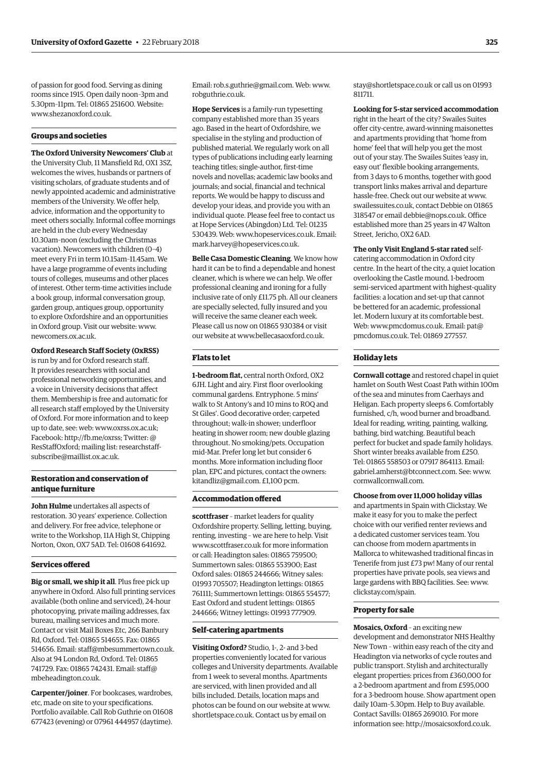of passion for good food. Serving as dining rooms since 1915. Open daily noon–3pm and 5.30pm–11pm. Tel: 01865 251600. Website: [www.shezanoxford.co.uk.](http://www.shezanoxford.co.uk)

#### **Groups and societies**

**The Oxford University Newcomers' Club** at the University Club, 11 Mansfield Rd, OX1 3SZ, welcomes the wives, husbands or partners of visiting scholars, of graduate students and of newly appointed academic and administrative members of the University. We offer help, advice, information and the opportunity to meet others socially. Informal coffee mornings are held in the club every Wednesday 10.30am–noon (excluding the Christmas vacation). Newcomers with children (0–4) meet every Fri in term 10.15am–11.45am. We have a large programme of events including tours of colleges, museums and other places of interest. Other term-time activities include a book group, informal conversation group, garden group, antiques group, opportunity to explore Oxfordshire and an opportunities in Oxford group. Visit our website: [www.](http://www.newcomers.ox.ac.uk) [newcomers.ox.ac.uk.](http://www.newcomers.ox.ac.uk)

#### **Oxford Research Staff Society (OxRSS)**

is run by and for Oxford research staff. It provides researchers with social and professional networking opportunities, and a voice in University decisions that affect them. Membership is free and automatic for all research staff employed by the University of Oxford. For more information and to keep up to date, see: web: [www.oxrss.ox.ac.uk;](http://www.oxrss.ox.ac.uk)  Facebook: [http://fb.me/oxrss; Tw](http://fb.me/oxrss)itter: @ ResStaffOxford; mailing list: researchstaff[subscribe@maillist.ox.ac.uk.](mailto:researchstaff-subscribe@maillist.ox.ac.uk)

#### **Restoration and conservation of antique furniture**

**John Hulme** undertakes all aspects of restoration. 30 years' experience. Collection and delivery. For free advice, telephone or write to the Workshop, 11A High St, Chipping Norton, Oxon, OX7 5AD. Tel: 01608 641692.

#### **Services offered**

**Big or small, we ship it all**. Plus free pick up anywhere in Oxford. Also full printing services available (both online and serviced), 24-hour photocopying, private mailing addresses, fax bureau, mailing services and much more. Contact or visit Mail Boxes Etc, 266 Banbury Rd, Oxford. Tel: 01865 514655. Fax: 01865 514656. Email: [staff@mbesummertown.co.uk.](mailto:staff@mbesummertown.co.uk)  Also at 94 London Rd, Oxford. Tel: 01865 [741729. Fax: 01865 742431. Email: staff@](mailto:staff@mbeheadington.co.uk) mbeheadington.co.uk.

**Carpenter/joiner**. For bookcases, wardrobes, etc, made on site to your specifications. Portfolio available. Call Rob Guthrie on 01608 677423 (evening) or 07961 444957 (daytime).

Email: [rob.s.guthrie@gmail.com. We](mailto:rob.s.guthrie@gmail.com)b: [www.](http://www.robguthrie.co.uk) [robguthrie.co.uk.](http://www.robguthrie.co.uk)

**Hope Services** is a family-run typesetting company established more than 35 years ago. Based in the heart of Oxfordshire, we specialise in the styling and production of published material. We regularly work on all types of publications including early learning teaching titles; single-author, first-time novels and novellas; academic law books and journals; and social, financial and technical reports. We would be happy to discuss and develop your ideas, and provide you with an individual quote. Please feel free to contact us at Hope Services (Abingdon) Ltd. Tel: 01235 530439. Web: [www.hopeservices.co.uk. Em](http://www.hopeservices.co.uk)ail: [mark.harvey@hopeservices.co.uk.](mailto:mark.harvey@hopeservices.co.uk)

**Belle Casa Domestic Cleaning**. We know how hard it can be to find a dependable and honest cleaner, which is where we can help. We offer professional cleaning and ironing for a fully inclusive rate of only £11.75 ph. All our cleaners are specially selected, fully insured and you will receive the same cleaner each week. Please call us now on 01865 930384 or visit our website at [www.bellecasaoxford.co.uk.](http://www.bellecasaoxford.co.uk)

#### **Flats to let**

**1-bedroom flat,** central north Oxford, OX2 6JH. Light and airy. First floor overlooking communal gardens. Entryphone. 5 mins' walk to St Antony's and 10 mins to ROQ and St Giles'. Good decorative order; carpeted throughout; walk-in shower; underfloor heating in shower room; new double glazing throughout. No smoking/pets. Occupation mid-Mar. Prefer long let but consider 6 months. More information including floor plan, EPC and pictures, contact the owners: [kitandliz@gmail.com. £1](mailto:kitandliz@gmail.com),100 pcm.

#### **Accommodation offered**

**scottfraser** – market leaders for quality Oxfordshire property. Selling, letting, buying, renting, investing – we are here to help. Visit [www.scottfraser.co.uk fo](http://www.scottfraser.co.uk)r more information or call: Headington sales: 01865 759500; Summertown sales: 01865 553900; East Oxford sales: 01865 244666; Witney sales: 01993 705507; Headington lettings: 01865 761111; Summertown lettings: 01865 554577; East Oxford and student lettings: 01865 244666; Witney lettings: 01993 777909.

#### **Self-catering apartments**

**Visiting Oxford?** Studio, 1-, 2- and 3-bed properties conveniently located for various colleges and University departments. Available from 1 week to several months. Apartments are serviced, with linen provided and all bills included. Details, location maps and photos can be found on our website at [www.](http://www.shortletspace.co.uk) [shortletspace.co.uk. Co](http://www.shortletspace.co.uk)ntact us by email on

[stay@shortletspace.co.uk or](mailto:stay@shortletspace.co.uk) call us on 01993 811711.

**Looking for 5-star serviced accommodation**  right in the heart of the city? Swailes Suites offer city-centre, award-winning maisonettes and apartments providing that 'home from home' feel that will help you get the most out of your stay. The Swailes Suites 'easy in, easy out' flexible booking arrangements, from 3 days to 6 months, together with good transport links makes arrival and departure hassle-free. Check out our website at [www.](http://www.swailessuites.co.uk) [swailessuites.co.uk, co](http://www.swailessuites.co.uk)ntact Debbie on 01865 318547 or email [debbie@nops.co.uk. Of](mailto:debbie@nops.co.uk)fice established more than 25 years in 47 Walton Street, Jericho, OX2 6AD.

#### **The only Visit England 5-star rated** self-

catering accommodation in Oxford city centre. In the heart of the city, a quiet location overlooking the Castle mound. 1-bedroom semi-serviced apartment with highest-quality facilities: a location and set-up that cannot be bettered for an academic, professional let. Modern luxury at its comfortable best. Web: [www.pmcdomus.co.uk. Em](http://www.pmcdomus.co.uk)ail: pat@ [pmcdomus.co.uk. Tel: 0](mailto:pat@pmcdomus.co.uk)1869 277557.

#### **Holiday lets**

**Cornwall cottage** and restored chapel in quiet hamlet on South West Coast Path within 100m of the sea and minutes from Caerhays and Heligan. Each property sleeps 6. Comfortably furnished, c/h, wood burner and broadband. Ideal for reading, writing, painting, walking, bathing, bird watching. Beautiful beach perfect for bucket and spade family holidays. Short winter breaks available from £250. Tel: 01865 558503 or 07917 864113. Email: [gabriel.amherst@btconnect.com. Se](mailto:gabriel.amherst@btconnect.com)e: [www.](http://www.cornwallcornwall.com) [cornwallcornwall.com.](http://www.cornwallcornwall.com)

**Choose from over 11,000 holiday villas** and apartments in Spain with Clickstay. We make it easy for you to make the perfect choice with our verified renter reviews and a dedicated customer services team. You can choose from modern apartments in Mallorca to whitewashed traditional fincas in Tenerife from just £73 pw! Many of our rental properties have private pools, sea views and large gardens with BBQ facilities. See: [www.](http://www.clickstay.com/spain) [clickstay.com/spain.](http://www.clickstay.com/spain)

#### **Property for sale**

**Mosaics, Oxford** – an exciting new development and demonstrator NHS Healthy New Town – within easy reach of the city and Headington via networks of cycle routes and public transport. Stylish and architecturally elegant properties: prices from £360,000 for a 2-bedroom apartment and from £595,000 for a 3-bedroom house. Show apartment open daily 10am–5.30pm. Help to Buy available. Contact Savills: 01865 269010. For more information see: [http://mosaicsoxford.co.uk.](http://mosaicsoxford.co.uk)